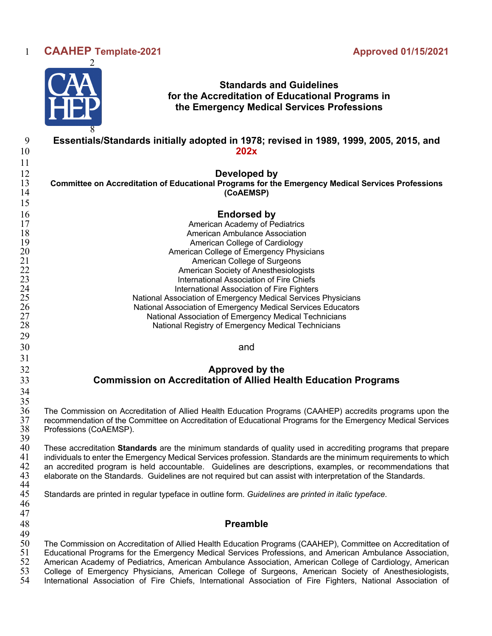### 1 **CAAHEP Template-2021 Approved 01/15/2021**



### 4 **Standards and Guidelines**  5 **for the Accreditation of Educational Programs in** 6 **the Emergency Medical Services Professions**

#### 8 9 **Essentials/Standards initially adopted in 1978; revised in 1989, 1999, 2005, 2015, and** 10 **202x** 11 12 **Developed by** 13 **Committee on Accreditation of Educational Programs for the Emergency Medical Services Professions**  14 **(CoAEMSP)** 15 16 **Endorsed by**<br>17 **Endorsed by**<br>21 **American Academy of Pe** 17 **17 American Academy of Pediatrics**<br>18 **American Ambulance Association** 18 18 **American Ambulance Association**<br>19 **American College of Cardiology** 19 American College of Cardiology<br>20 American College of Emergency Physi 20 **American College of Emergency Physicians**<br>21 **American College of Surgeons** 21 American College of Surgeons<br>22 **American Society of Anesthesiolog**<br>22 **American Society of Anesthesiology** 22 American Society of Anesthesiologists 23 23 International Association of Fire Chiefs<br>24 International Association of Fire Fighters 24 International Association of Fire Fighters<br>25 National Association of Emergency Medical Services 25 National Association of Emergency Medical Services Physicians<br>26 National Association of Emergency Medical Services Educators 26 **National Association of Emergency Medical Services Educators**<br>27 **National Association of Emergency Medical Technicians** 27 National Association of Emergency Medical Technicians National Registry of Emergency Medical Technicians 29  $30$  and 31 32 **Approved by the** 33 **Commission on Accreditation of Allied Health Education Programs** 34  $\frac{35}{36}$ 36 The Commission on Accreditation of Allied Health Education Programs (CAAHEP) accredits programs upon the 37 recommendation of the Committee on Accreditation of Educational Programs for the Emergency Medical Services 37 recommendation of the Committee on Accreditation of Educational Programs for the Emergency Medical Services<br>38 Professions (CoAEMSP). Professions (CoAEMSP). 39 40 These accreditation **Standards** are the minimum standards of quality used in accrediting programs that prepare 41 individuals to enter the Emergency Medical Services profession. Standards are the minimum requirements to which<br>42 an accredited program is held accountable. Guidelines are descriptions, examples, or recommendations tha 42 an accredited program is held accountable. Guidelines are descriptions, examples, or recommendations that 43 elaborate on the Standards. elaborate on the Standards. Guidelines are not required but can assist with interpretation of the Standards. 44<br>45 45 Standards are printed in regular typeface in outline form. *Guidelines are printed in italic typeface*. 46 47 48 **Preamble** 49<br>50 50 The Commission on Accreditation of Allied Health Education Programs (CAAHEP), Committee on Accreditation of<br>51 Educational Programs for the Emergency Medical Services Professions, and American Ambulance Association, 51 Educational Programs for the Emergency Medical Services Professions, and American Ambulance Association, 52 American Academy of Pediatrics, American Ambulance Association, American College of Cardiology, American<br>53 College of Emergency Physicians, American College of Surgeons, American Society of Anesthesiologists,

53 College of Emergency Physicians, American College of Surgeons, American Society of Anesthesiologists,<br>54 International Association of Fire Chiefs, International Association of Fire Fighters, National Association of International Association of Fire Chiefs, International Association of Fire Fighters, National Association of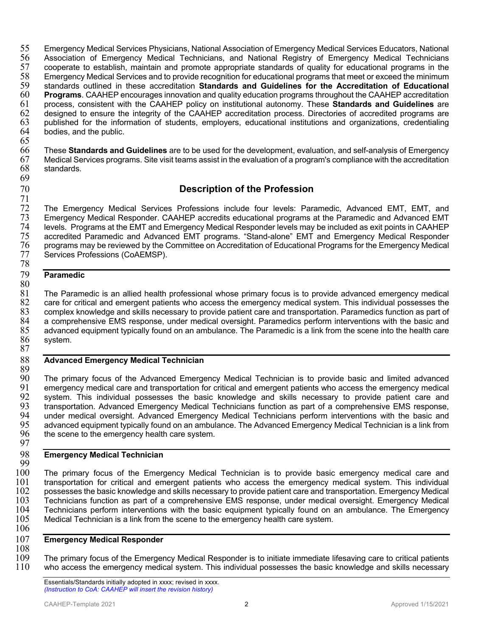55 Emergency Medical Services Physicians, National Association of Emergency Medical Services Educators, National<br>56 Association of Emergency Medical Technicians, and National Registry of Emergency Medical Technicians 56 Association of Emergency Medical Technicians, and National Registry of Emergency Medical Technicians 57 cooperate to establish, maintain and promote appropriate standards of quality for educational programs in the<br>58 Emergency Medical Services and to provide recognition for educational programs that meet or exceed the min 58 Emergency Medical Services and to provide recognition for educational programs that meet or exceed the minimum<br>59 standards outlined in these accreditation **Standards and Guidelines for the Accreditation of Educational** 59 standards outlined in these accreditation **Standards and Guidelines for the Accreditation of Educational Programs**. CAAHEP encourages innovation and quality education programs throughout the CAAHEP accreditation 61 process, consistent with the CAAHEP policy on institutional autonomy. These **Standards and Guidelines** are 62 designed to ensure the integrity of the CAAHEP accreditation process. Directories of accredited programs are<br>63 published for the information of students, employers, educational institutions and organizations, credentia 63 published for the information of students, employers, educational institutions and organizations, credentialing bodies, and the public.

65 66 These **Standards and Guidelines** are to be used for the development, evaluation, and self-analysis of Emergency 67 Medical Services programs. Site visit teams assist in the evaluation of a program's compliance with the accreditation<br>68 standards. standards.

### 70 **Description of the Profession**

 $^{71}_{72}$  The Emergency Medical Services Professions include four levels: Paramedic, Advanced EMT, EMT, and Emergency Medical Responder. CAAHEP accredits educational programs at the Paramedic and Advanced EMT 74 levels. Programs at the EMT and Emergency Medical Responder levels may be included as exit points in CAAHEP<br>75 accredited Paramedic and Advanced EMT programs. "Stand-alone" EMT and Emergency Medical Responder accredited Paramedic and Advanced EMT programs. "Stand-alone" EMT and Emergency Medical Responder programs may be reviewed by the Committee on Accreditation of Educational Programs for the Emergency Medical Services Professions (CoAEMSP). 78

### 79 **Paramedic**

69

 $\begin{array}{c} 80 \\ 81 \end{array}$ 81 The Paramedic is an allied health professional whose primary focus is to provide advanced emergency medical<br>82 care for critical and emergent patients who access the emergency medical system. This individual possesses t care for critical and emergent patients who access the emergency medical system. This individual possesses the 83 complex knowledge and skills necessary to provide patient care and transportation. Paramedics function as part of<br>84 a comprehensive EMS response, under medical oversight. Paramedics perform interventions with the basic 84 a comprehensive EMS response, under medical oversight. Paramedics perform interventions with the basic and<br>85 advanced equipment typically found on an ambulance. The Paramedic is a link from the scene into the health ca 85 advanced equipment typically found on an ambulance. The Paramedic is a link from the scene into the health care<br>86 system. system. 87

### 88 **Advanced Emergency Medical Technician**

89<br>90 90 The primary focus of the Advanced Emergency Medical Technician is to provide basic and limited advanced<br>91 emergency medical care and transportation for critical and emergent patients who access the emergency medical 91 emergency medical care and transportation for critical and emergent patients who access the emergency medical<br>92 system. This individual possesses the basic knowledge and skills necessary to provide patient care and 92 system. This individual possesses the basic knowledge and skills necessary to provide patient care and<br>93 transportation. Advanced Emergency Medical Technicians function as part of a comprehensive EMS response, 93 transportation. Advanced Emergency Medical Technicians function as part of a comprehensive EMS response,<br>94 under medical oversight. Advanced Emergency Medical Technicians perform interventions with the basic and 94 under medical oversight. Advanced Emergency Medical Technicians perform interventions with the basic and<br>95 advanced equipment typically found on an ambulance. The Advanced Emergency Medical Technician is a link from 95 advanced equipment typically found on an ambulance. The Advanced Emergency Medical Technician is a link from<br>96 the scene to the emergency health care system. the scene to the emergency health care system.

97

### 98 **Emergency Medical Technician**

 $\frac{99}{100}$ 100 The primary focus of the Emergency Medical Technician is to provide basic emergency medical care and 101 transportation for critical and emergent patients who access the emergency medical system. This individual 101 transportation for critical and emergent patients who access the emergency medical system. This individual<br>102 possesses the basic knowledge and skills necessary to provide patient care and transportation. Emergency Me 102 possesses the basic knowledge and skills necessary to provide patient care and transportation. Emergency Medical<br>103 Technicians function as part of a comprehensive EMS response, under medical oversight. Emergency Medi 103 Technicians function as part of a comprehensive EMS response, under medical oversight. Emergency Medical<br>104 Technicians perform interventions with the basic equipment typically found on an ambulance. The Emergency Technicians perform interventions with the basic equipment typically found on an ambulance. The Emergency 105 Medical Technician is a link from the scene to the emergency health care system. 106

- 107 **Emergency Medical Responder**
- $\frac{108}{109}$

109 The primary focus of the Emergency Medical Responder is to initiate immediate lifesaving care to critical patients<br>110 who access the emergency medical system. This individual possesses the basic knowledge and skills n who access the emergency medical system. This individual possesses the basic knowledge and skills necessary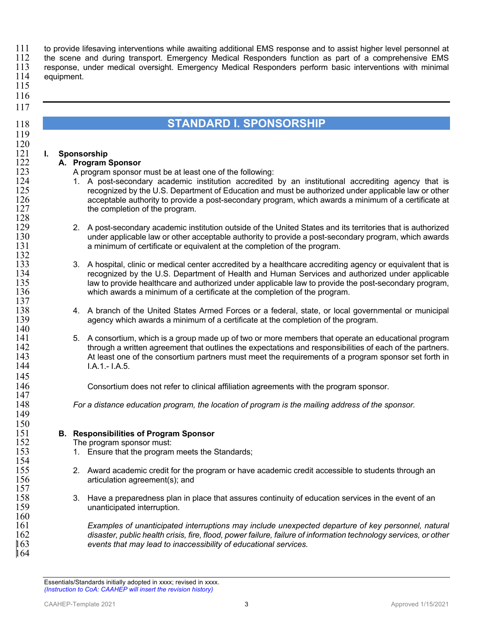111 to provide lifesaving interventions while awaiting additional EMS response and to assist higher level personnel at 112 the scene and during transport. Emergency Medical Responders function as part of a comprehensive EM 112 the scene and during transport. Emergency Medical Responders function as part of a comprehensive EMS<br>113 response, under medical oversight. Emergency Medical Responders perform basic interventions with minimal 113 response, under medical oversight. Emergency Medical Responders perform basic interventions with minimal<br>114 equipment. equipment.

- 115
- 116
- 117

119 120

 $\frac{128}{129}$ 

 $\frac{132}{133}$ 

137<br>138

 $\frac{140}{141}$ 

145

147

149 150<br>151

 $\frac{154}{155}$ 

157

160

164

### 118 **STANDARD I. SPONSORSHIP**

## 121 **I. Sponsorship**

# 122 **A. Program Sponsor**

- 123 A program sponsor must be at least one of the following:<br>124 1. A post-secondary academic institution accredited
- 124 1. A post-secondary academic institution accredited by an institutional accrediting agency that is<br>125 recognized by the U.S. Department of Education and must be authorized under applicable law or other 125 recognized by the U.S. Department of Education and must be authorized under applicable law or other 126 acceptable authority to provide a post-secondary program, which awards a minimum of a certificate at <br>127 **burbary 127** the completion of the program.
- 129 2. A post-secondary academic institution outside of the United States and its territories that is authorized<br>130 130 under applicable law or other acceptable authority to provide a post-secondary program, which awards 130 under applicable law or other acceptable authority to provide a post-secondary program, which awards<br>131 annimum of certificate or equivalent at the completion of the program. a minimum of certificate or equivalent at the completion of the program.
- 133 3. A hospital, clinic or medical center accredited by a healthcare accrediting agency or equivalent that is<br>134 recognized by the U.S. Department of Health and Human Services and authorized under applicable 134 recognized by the U.S. Department of Health and Human Services and authorized under applicable<br>135 law to provide healthcare and authorized under applicable law to provide the post-secondary program, 135 law to provide healthcare and authorized under applicable law to provide the post-secondary program,<br>136 which awards a minimum of a certificate at the completion of the program. which awards a minimum of a certificate at the completion of the program.
- 138 4. A branch of the United States Armed Forces or a federal, state, or local governmental or municipal 139 agency which awards a minimum of a certificate at the completion of the program.
- 5. A consortium, which is a group made up of two or more members that operate an educational program through a written agreement that outlines the expectations and responsibilities of each of the partners.<br>143 ht least one of the consortium partners must meet the requirements of a program sponsor set forth in 143 At least one of the consortium partners must meet the requirements of a program sponsor set forth in 144  $I.A.1 - I.A.5.$

146 Consortium does not refer to clinical affiliation agreements with the program sponsor.

148 *For a distance education program, the location of program is the mailing address of the sponsor.*

# 151 **B. Responsibilities of Program Sponsor**

The program sponsor must:

- 153 1. Ensure that the program meets the Standards;
- 155 2. Award academic credit for the program or have academic credit accessible to students through an 156 articulation agreement(s); and
- 158 3. Have a preparedness plan in place that assures continuity of education services in the event of an 159 unanticipated interruption.

161 *Examples of unanticipated interruptions may include unexpected departure of key personnel, natural*  162 *disaster, public health crisis, fire, flood, power failure, failure of information technology services, or other*  163 *events that may lead to inaccessibility of educational services.* 

Essentials/Standards initially adopted in xxxx; revised in xxxx. *(Instruction to CoA: CAAHEP will insert the revision history)*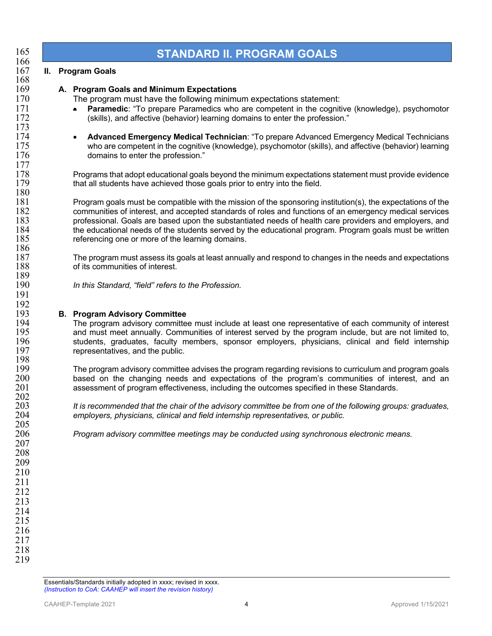| 165<br>166 | <b>STANDARD II. PROGRAM GOALS</b> |                                                                                                                                                                                                                                                                                                                                                                                                                                                                                                |  |  |  |  |  |
|------------|-----------------------------------|------------------------------------------------------------------------------------------------------------------------------------------------------------------------------------------------------------------------------------------------------------------------------------------------------------------------------------------------------------------------------------------------------------------------------------------------------------------------------------------------|--|--|--|--|--|
|            |                                   | II. Program Goals                                                                                                                                                                                                                                                                                                                                                                                                                                                                              |  |  |  |  |  |
|            |                                   | A. Program Goals and Minimum Expectations<br>The program must have the following minimum expectations statement:<br>Paramedic: "To prepare Paramedics who are competent in the cognitive (knowledge), psychomotor<br>(skills), and affective (behavior) learning domains to enter the profession."                                                                                                                                                                                             |  |  |  |  |  |
|            |                                   | Advanced Emergency Medical Technician: "To prepare Advanced Emergency Medical Technicians<br>$\bullet$<br>who are competent in the cognitive (knowledge), psychomotor (skills), and affective (behavior) learning<br>domains to enter the profession."                                                                                                                                                                                                                                         |  |  |  |  |  |
|            |                                   | Programs that adopt educational goals beyond the minimum expectations statement must provide evidence<br>that all students have achieved those goals prior to entry into the field.                                                                                                                                                                                                                                                                                                            |  |  |  |  |  |
|            |                                   | Program goals must be compatible with the mission of the sponsoring institution(s), the expectations of the<br>communities of interest, and accepted standards of roles and functions of an emergency medical services<br>professional. Goals are based upon the substantiated needs of health care providers and employers, and<br>the educational needs of the students served by the educational program. Program goals must be written<br>referencing one or more of the learning domains. |  |  |  |  |  |
|            |                                   | The program must assess its goals at least annually and respond to changes in the needs and expectations<br>of its communities of interest.                                                                                                                                                                                                                                                                                                                                                    |  |  |  |  |  |
|            |                                   | In this Standard, "field" refers to the Profession.                                                                                                                                                                                                                                                                                                                                                                                                                                            |  |  |  |  |  |
|            |                                   | <b>B. Program Advisory Committee</b><br>The program advisory committee must include at least one representative of each community of interest<br>and must meet annually. Communities of interest served by the program include, but are not limited to,<br>students, graduates, faculty members, sponsor employers, physicians, clinical and field internship<br>representatives, and the public.                                                                                              |  |  |  |  |  |
|            |                                   | The program advisory committee advises the program regarding revisions to curriculum and program goals<br>based on the changing needs and expectations of the program's communities of interest, and an<br>assessment of program effectiveness, including the outcomes specified in these Standards.                                                                                                                                                                                           |  |  |  |  |  |
|            |                                   | It is recommended that the chair of the advisory committee be from one of the following groups: graduates,<br>employers, physicians, clinical and field internship representatives, or public.                                                                                                                                                                                                                                                                                                 |  |  |  |  |  |
|            |                                   | Program advisory committee meetings may be conducted using synchronous electronic means.                                                                                                                                                                                                                                                                                                                                                                                                       |  |  |  |  |  |
|            |                                   |                                                                                                                                                                                                                                                                                                                                                                                                                                                                                                |  |  |  |  |  |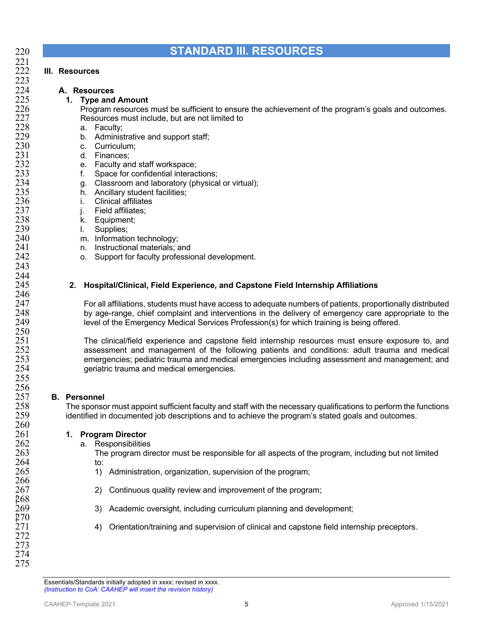| 220        |                                                                                                                  |                     |              | <b>STANDARD III. RESOURCES</b>                                                                              |  |  |  |
|------------|------------------------------------------------------------------------------------------------------------------|---------------------|--------------|-------------------------------------------------------------------------------------------------------------|--|--|--|
| 221<br>222 |                                                                                                                  | III. Resources      |              |                                                                                                             |  |  |  |
| 223        |                                                                                                                  |                     |              |                                                                                                             |  |  |  |
| 224        |                                                                                                                  |                     | A. Resources |                                                                                                             |  |  |  |
| 225        |                                                                                                                  |                     |              | 1. Type and Amount                                                                                          |  |  |  |
| 226        |                                                                                                                  |                     |              | Program resources must be sufficient to ensure the achievement of the program's goals and outcomes.         |  |  |  |
| 227        |                                                                                                                  |                     |              | Resources must include, but are not limited to                                                              |  |  |  |
| 228        |                                                                                                                  |                     | a. Faculty;  |                                                                                                             |  |  |  |
| 229        |                                                                                                                  |                     |              | b. Administrative and support staff;                                                                        |  |  |  |
| 230        |                                                                                                                  |                     |              | c. Curriculum;                                                                                              |  |  |  |
| 231        |                                                                                                                  |                     |              | d. Finances;                                                                                                |  |  |  |
| 232        |                                                                                                                  |                     |              | e. Faculty and staff workspace;                                                                             |  |  |  |
| 233        |                                                                                                                  | f.                  |              | Space for confidential interactions;                                                                        |  |  |  |
| 234        |                                                                                                                  | g.                  |              | Classroom and laboratory (physical or virtual);                                                             |  |  |  |
| 235        |                                                                                                                  |                     | h.           | Ancillary student facilities;                                                                               |  |  |  |
| 236        |                                                                                                                  | i.                  |              | <b>Clinical affiliates</b>                                                                                  |  |  |  |
| 237        |                                                                                                                  |                     |              | Field affiliates;                                                                                           |  |  |  |
| 238        |                                                                                                                  | k.                  |              | Equipment;                                                                                                  |  |  |  |
| 239        |                                                                                                                  | I.                  |              | Supplies;                                                                                                   |  |  |  |
| 240        |                                                                                                                  |                     |              | m. Information technology;                                                                                  |  |  |  |
| 241        |                                                                                                                  |                     | n.           | Instructional materials; and                                                                                |  |  |  |
| 242        |                                                                                                                  |                     |              | o. Support for faculty professional development.                                                            |  |  |  |
| 243        |                                                                                                                  |                     |              |                                                                                                             |  |  |  |
| 244        |                                                                                                                  |                     |              |                                                                                                             |  |  |  |
| 245        |                                                                                                                  | 2.                  |              | Hospital/Clinical, Field Experience, and Capstone Field Internship Affiliations                             |  |  |  |
| 246        |                                                                                                                  |                     |              |                                                                                                             |  |  |  |
| 247        |                                                                                                                  |                     |              | For all affiliations, students must have access to adequate numbers of patients, proportionally distributed |  |  |  |
| 248        |                                                                                                                  |                     |              | by age-range, chief complaint and interventions in the delivery of emergency care appropriate to the        |  |  |  |
| 249        |                                                                                                                  |                     |              | level of the Emergency Medical Services Profession(s) for which training is being offered.                  |  |  |  |
| 250        |                                                                                                                  |                     |              |                                                                                                             |  |  |  |
| 251        |                                                                                                                  |                     |              | The clinical/field experience and capstone field internship resources must ensure exposure to, and          |  |  |  |
| 252        |                                                                                                                  |                     |              | assessment and management of the following patients and conditions: adult trauma and medical                |  |  |  |
| 253        |                                                                                                                  |                     |              | emergencies; pediatric trauma and medical emergencies including assessment and management; and              |  |  |  |
| 254        |                                                                                                                  |                     |              | geriatric trauma and medical emergencies.                                                                   |  |  |  |
| 255        |                                                                                                                  |                     |              |                                                                                                             |  |  |  |
| 256        |                                                                                                                  |                     |              |                                                                                                             |  |  |  |
| 257        |                                                                                                                  | <b>B.</b> Personnel |              |                                                                                                             |  |  |  |
| 258        | The sponsor must appoint sufficient faculty and staff with the necessary qualifications to perform the functions |                     |              |                                                                                                             |  |  |  |
| 259        |                                                                                                                  |                     |              | identified in documented job descriptions and to achieve the program's stated goals and outcomes.           |  |  |  |
| 260        |                                                                                                                  |                     |              |                                                                                                             |  |  |  |
| 261        |                                                                                                                  | 1.                  |              | <b>Program Director</b>                                                                                     |  |  |  |
| 262        |                                                                                                                  |                     |              | a. Responsibilities                                                                                         |  |  |  |
| 263        |                                                                                                                  |                     |              | The program director must be responsible for all aspects of the program, including but not limited          |  |  |  |
| 264        |                                                                                                                  |                     | to:          |                                                                                                             |  |  |  |
| 265        |                                                                                                                  |                     | 1)           | Administration, organization, supervision of the program;                                                   |  |  |  |
| 266        |                                                                                                                  |                     |              |                                                                                                             |  |  |  |
| 267        |                                                                                                                  |                     | 2)           | Continuous quality review and improvement of the program;                                                   |  |  |  |
| 268<br>269 |                                                                                                                  |                     |              | Academic oversight, including curriculum planning and development;                                          |  |  |  |
| 270        |                                                                                                                  |                     | 3)           |                                                                                                             |  |  |  |
|            |                                                                                                                  |                     |              |                                                                                                             |  |  |  |

4) Orientation/training and supervision of clinical and capstone field internship preceptors.

Essentials/Standards initially adopted in xxxx; revised in xxxx. *(Instruction to CoA: CAAHEP will insert the revision history)*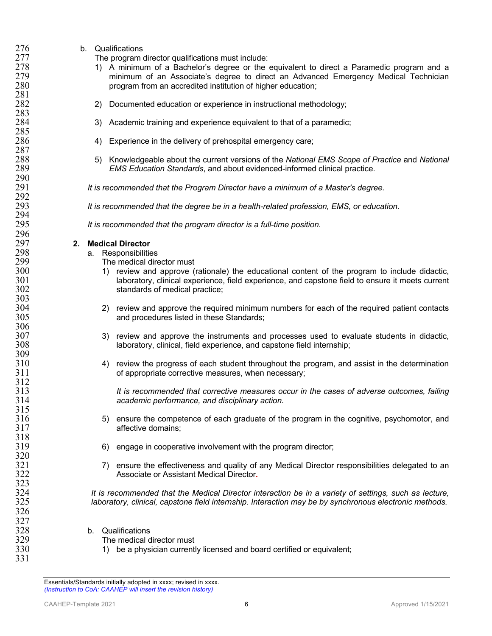276 b. Qualifications<br>277 **b. Australian** 

281

283

285<br>286

 $\frac{287}{288}$ 

290<br>291

292<br>293

294<br>295

296<br>297

303<br>304

306<br>307

309<br>310

 $\frac{312}{313}$ 

 $\frac{315}{316}$ 

318<br>319

320<br>321

323<br>324

326 327<br>328

331

- 277 The program director qualifications must include:<br>278 1) A minimum of a Bachelor's degree or the 278 1) A minimum of a Bachelor's degree or the equivalent to direct a Paramedic program and a 279 minimum of an Associate's degree to direct an Advanced Emergency Medical Technician<br>280 metatrology of an accredited institution of higher education; program from an accredited institution of higher education;
- 282 2) Documented education or experience in instructional methodology;
	- 3) Academic training and experience equivalent to that of a paramedic;
	- 4) Experience in the delivery of prehospital emergency care;
- 288 5) Knowledgeable about the current versions of the *National EMS Scope of Practice* and *National*  **EMS Education Standards, and about evidenced-informed clinical practice.** 
	- It is recommended that the Program Director have a minimum of a Master's degree.

It is recommended that the degree be in a health-related profession, EMS, or education.

295 *It is recommended that the program director is a full-time position.*

# 297 **2. Medical Director**

- 298 a. Responsibilities
- 299 The medical director must<br>300 1) review and approve (
- 300 1) review and approve (rationale) the educational content of the program to include didactic, 301 laboratory, clinical experience, field experience, and capstone field to ensure it meets current<br>302 standards of medical practice: standards of medical practice;
- 304 2) review and approve the required minimum numbers for each of the required patient contacts and procedures listed in these Standards;
- 307 3) review and approve the instruments and processes used to evaluate students in didactic,<br>308 308 aboratory, clinical, field experience, and capstone field internship; laboratory, clinical, field experience, and capstone field internship;
- 4) review the progress of each student throughout the program, and assist in the determination 311 of appropriate corrective measures, when necessary;

It is recommended that corrective measures occur in the cases of adverse outcomes, failing 314 *academic performance, and disciplinary action.*

- 316 5) ensure the competence of each graduate of the program in the cognitive, psychomotor, and<br>317 affective domains:
	- 6) engage in cooperative involvement with the program director;
- 321 7) ensure the effectiveness and quality of any Medical Director responsibilities delegated to an<br>322 Sesociate or Assistant Medical Director. Associate or Assistant Medical Director.

324 *It is recommended that the Medical Director interaction be in a variety of settings, such as lecture,*  325 *laboratory, clinical, capstone field internship. Interaction may be by synchronous electronic methods.*

- 328 b. Qualifications<br>329 The medical d
- 329 The medical director must<br>330 1) be a physician currentl
	- 1) be a physician currently licensed and board certified or equivalent;

Essentials/Standards initially adopted in xxxx; revised in xxxx. *(Instruction to CoA: CAAHEP will insert the revision history)*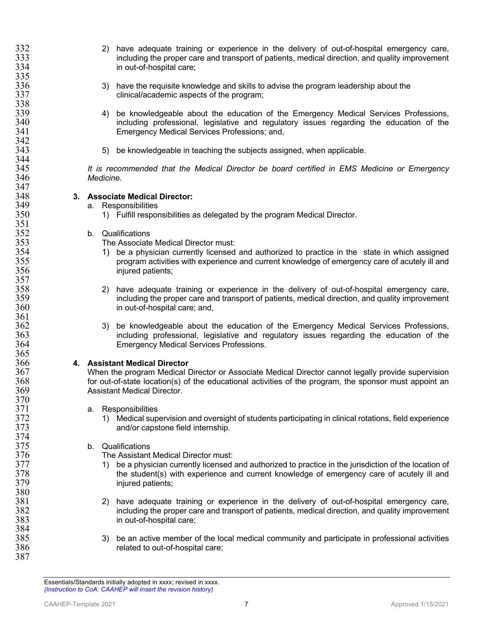- 332 2) have adequate training or experience in the delivery of out-of-hospital emergency care,<br>333 including the proper care and transport of patients, medical direction, and quality improvement 333 including the proper care and transport of patients, medical direction, and quality improvement in out-of-hospital care;
- 336 336 330 33) have the requisite knowledge and skills to advise the program leadership about the clinical/academic aspects of the program; clinical/academic aspects of the program;
- 339 4) be knowledgeable about the education of the Emergency Medical Services Professions, 340 including professional, legislative and regulatory issues regarding the education of the Emergency Medical Services Professions; and,
	- 5) be knowledgeable in teaching the subjects assigned, when applicable.

345 *It is recommended that the Medical Director be board certified in EMS Medicine or Emergency*   $Medicine.$ 

## 348 **3. Associate Medical Director:**

- a. Responsibilities
- 350 1) Fulfill responsibilities as delegated by the program Medical Director.
- 352 b. Qualifications<br>353 The Associate

335

338<br>339

342<br>343

344<br>345

347

351<br>352

357<br>358

361<br>362

365<br>366

370<br>371

374<br>375

380<br>381

384<br>385

387

353 The Associate Medical Director must:

- 354 1) be a physician currently licensed and authorized to practice in the state in which assigned 355 program activities with experience and current knowledge of emergency care of acutely ill and injured patients;
- 358 2) have adequate training or experience in the delivery of out-of-hospital emergency care, including the proper care and transport of patients, medical direction, and quality improvement 360 in out-of-hospital care; and,
- 362 362 3) be knowledgeable about the education of the Emergency Medical Services Professions,<br>363 363 363 363 including professional, legislative and regulatory issues regarding the education of the 363 including professional, legislative and regulatory issues regarding the education of the **Emergency Medical Services Professions.**

## 366 **4. Assistant Medical Director**

367 When the program Medical Director or Associate Medical Director cannot legally provide supervision for out-of-state location(s) of the educational activities of the program, the sponsor must appoint an 369 Assistant Medical Director.

- a. Responsibilities
- 372 1) Medical supervision and oversight of students participating in clinical rotations, field experience<br>373 **1986 1997 12: A ling and/or capstone field internship**. and/or capstone field internship.
- 375 b. Qualifications

376 The Assistant Medical Director must:

- 377 1) be a physician currently licensed and authorized to practice in the jurisdiction of the location of the student(s) with experience and current knowledge of emergency care of acutely ill and 378 the student(s) with experience and current knowledge of emergency care of acutely ill and injured patients;
- 2) have adequate training or experience in the delivery of out-of-hospital emergency care, 382 including the proper care and transport of patients, medical direction, and quality improvement 383 in out-of-hospital care;
- 3) be an active member of the local medical community and participate in professional activities 386 related to out-of-hospital care;

Essentials/Standards initially adopted in xxxx; revised in xxxx. *(Instruction to CoA: CAAHEP will insert the revision history)*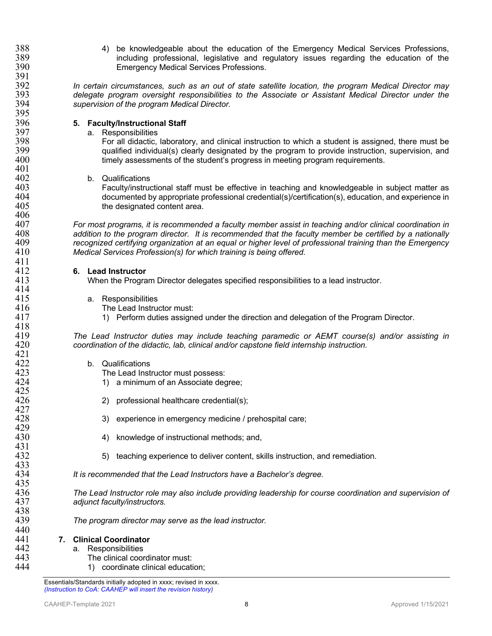388 4) be knowledgeable about the education of the Emergency Medical Services Professions, 389 including professional, legislative and regulatory issues regarding the education of the 390 **Emergency Medical Services Professions.** 

392 *In certain circumstances, such as an out of state satellite location, the program Medical Director may*  393 *delegate program oversight responsibilities to the Associate or Assistant Medical Director under the*  394 *supervision of the program Medical Director.*

# 396 **5. Faculty/Instructional Staff**

397 a. Responsibilities

391<br>392

395<br>396

401

406<br>407

 $\frac{411}{412}$ 

414

418<br>419

421

425<br>426

427<br>428

429<br>430

431<br>432

433<br>434

435<br>436

438<br>439

440<br>441

398 For all didactic, laboratory, and clinical instruction to which a student is assigned, there must be 399 Supervision. and 399 399 state of the qualified individual(s) clearly designated by the program to provide instruction, supervision, and<br>400 stimely assessments of the student's progress in meeting program requirements. timely assessments of the student's progress in meeting program requirements.

402 b. Qualifications<br>403 **b.** Cualifications

Faculty/instructional staff must be effective in teaching and knowledgeable in subject matter as 404 documented by appropriate professional credential(s)/certification(s), education, and experience in 405 the designated content area.

 *For most programs, it is recommended a faculty member assist in teaching and/or clinical coordination in addition to the program director. It is recommended that the faculty member be certified by a nationally recognized certifying organization at an equal or higher level of professional training than the Emergency Medical Services Profession(s) for which training is being offered.*

# 412 **6. Lead Instructor**

When the Program Director delegates specified responsibilities to a lead instructor.

- 415 a. Responsibilities<br>416 **https://www.fracesonal.com**
- 416 The Lead Instructor must:<br>417 1) Perform duties assign
	- 1) Perform duties assigned under the direction and delegation of the Program Director.

419 *The Lead Instructor duties may include teaching paramedic or AEMT course(s) and/or assisting in*  420 *coordination of the didactic, lab, clinical and/or capstone field internship instruction.*

422 b. Qualifications<br>423 The Lead Insti

423 The Lead Instructor must possess:<br>424 The Aminimum of an Associate dec

- 1) a minimum of an Associate degree;
- 2) professional healthcare credential(s);
- 3) experience in emergency medicine / prehospital care;
- 4) knowledge of instructional methods; and,
- 5) teaching experience to deliver content, skills instruction, and remediation.

It is recommended that the Lead Instructors have a Bachelor's degree.

436 *The Lead Instructor role may also include providing leadership for course coordination and supervision of*  437 *adjunct faculty/instructors.*

439 *The program director may serve as the lead instructor.*

# 441 **7. Clinical Coordinator**

- a. Responsibilities
- 443 The clinical coordinator must:<br>444 1) coordinate clinical educat
	- 1) coordinate clinical education;

Essentials/Standards initially adopted in xxxx; revised in xxxx. *(Instruction to CoA: CAAHEP will insert the revision history)*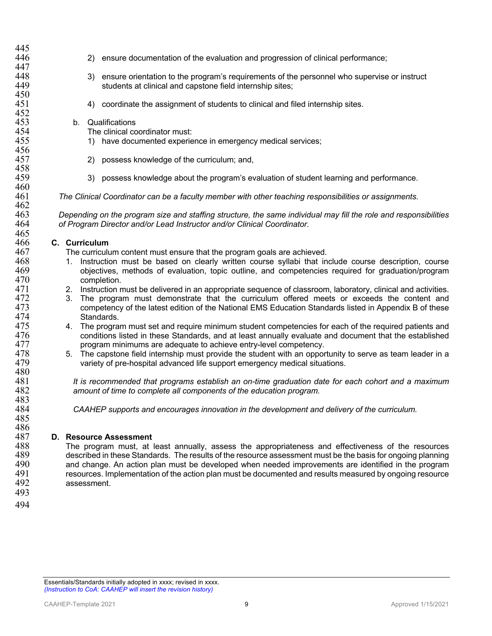- 446 2) ensure documentation of the evaluation and progression of clinical performance;
- 448 3) ensure orientation to the program's requirements of the personnel who supervise or instruct<br>449 students at clinical and capstone field internship sites: students at clinical and capstone field internship sites;
	- 4) coordinate the assignment of students to clinical and filed internship sites.
- 453 b. Qualifications<br>454 The clinical co
- 454 The clinical coordinator must:<br>455 1) have documented experie
	- 1) have documented experience in emergency medical services;
	- 2) possess knowledge of the curriculum; and,
	- 3) possess knowledge about the program's evaluation of student learning and performance.

461 *The Clinical Coordinator can be a faculty member with other teaching responsibilities or assignments.*

463 *Depending on the program size and staffing structure, the same individual may fill the role and responsibilities*  464 *of Program Director and/or Lead Instructor and/or Clinical Coordinator.* 

# 466 **C. Curriculum**

445<br>446

447<br>448

450<br>451

452<br>453

456<br>457

458<br>459

 $\frac{460}{461}$ 

 $\frac{462}{463}$ 

465<br>466

467 The curriculum content must ensure that the program goals are achieved.<br>468 1. Instruction must be based on clearly written course syllabi that in

- 468 1. Instruction must be based on clearly written course syllabi that include course description, course<br>469 http://example.org/courses.methods of evaluation, topic outline, and competencies required for graduation/progr 469 objectives, methods of evaluation, topic outline, and competencies required for graduation/program 470 completion.<br>471 2. Instruction n
- 471 2. Instruction must be delivered in an appropriate sequence of classroom, laboratory, clinical and activities.<br>472 3. The program must demonstrate that the curriculum offered meets or exceeds the content and
- 3. The program must demonstrate that the curriculum offered meets or exceeds the content and 473 competency of the latest edition of the National EMS Education Standards listed in Appendix B of these<br>474 Standards. 474 Standards.<br>475 4. The progra
- 475 4. The program must set and require minimum student competencies for each of the required patients and 476 conditions listed in these Standards, and at least annually evaluate and document that the established<br>477 second program minimums are adequate to achieve entry-level competency. 477 program minimums are adequate to achieve entry-level competency.<br>478 **1988 - S. The capstone field internship must provide the student with an oppor**
- 478 5. The capstone field internship must provide the student with an opportunity to serve as team leader in a<br>479 variety of pre-hospital advanced life support emergency medical situations. variety of pre-hospital advanced life support emergency medical situations.

481 *It is recommended that programs establish an on-time graduation date for each cohort and a maximum*  amount of time to complete all components of the education program.

484 *CAAHEP supports and encourages innovation in the development and delivery of the curriculum.*

### 486<br>487 487 **D. Resource Assessment**

488 The program must, at least annually, assess the appropriateness and effectiveness of the resources 489 described in these Standards. The results of the resource assessment must be the basis for ongoing planning<br>490 and change. An action plan must be developed when needed improvements are identified in the program 490 and change. An action plan must be developed when needed improvements are identified in the program<br>491 sespences. Implementation of the action plan must be documented and results measured by ongoing resource 491 resources. Implementation of the action plan must be documented and results measured by ongoing resource assessment.

493

 $\frac{480}{481}$ 

483<br>484

485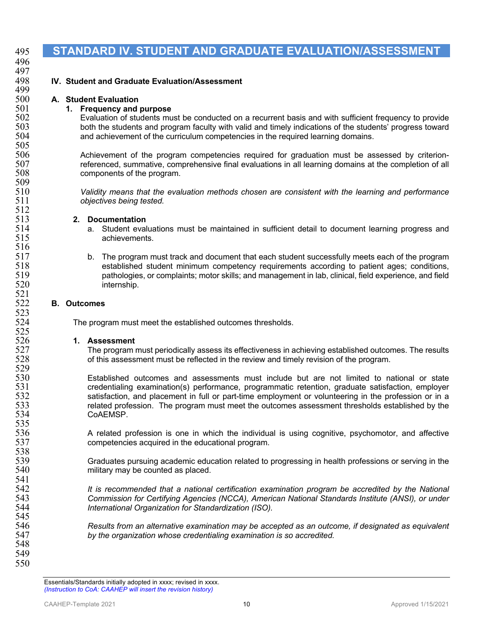496 497

### 495 **STANDARD IV. STUDENT AND GRADUATE EVALUATION/ASSESSMENT**

#### 498 **IV. Student and Graduate Evaluation/Assessment**

## 500 **A. Student Evaluation**

## 501 **1. Frequency and purpose**

Evaluation of students must be conducted on a recurrent basis and with sufficient frequency to provide 503 both the students and program faculty with valid and timely indications of the students' progress toward<br>504 and achievement of the curriculum competencies in the required learning domains. and achievement of the curriculum competencies in the required learning domains.

506 506 Achievement of the program competencies required for graduation must be assessed by criterion-<br>507 feferenced, summative, comprehensive final evaluations in all learning domains at the completion of all 507 referenced, summative, comprehensive final evaluations in all learning domains at the completion of all<br>508 components of the program. components of the program.

510 *Validity means that the evaluation methods chosen are consistent with the learning and performance*  511 *objectives being tested.*

## 513 **2. Documentation**

- 514 a. Student evaluations must be maintained in sufficient detail to document learning progress and achievements.
- 517 b. The program must track and document that each student successfully meets each of the program<br>518 stablished student minimum competency requirements according to patient ages; conditions, 518 established student minimum competency requirements according to patient ages; conditions, 519 pathologies, or complaints; motor skills; and management in lab, clinical, field experience, and field internship.

#### 522 **B. Outcomes**

The program must meet the established outcomes thresholds.

# 526 **1. Assessment**

527 The program must periodically assess its effectiveness in achieving established outcomes. The results<br>528 fit is assessment must be reflected in the review and timely revision of the program. of this assessment must be reflected in the review and timely revision of the program.

530 Established outcomes and assessments must include but are not limited to national or state 531 credentialing examination(s) performance, programmatic retention, graduate satisfaction, employer<br>532 satisfaction, and placement in full or part-time employment or volunteering in the profession or in a satisfaction, and placement in full or part-time employment or volunteering in the profession or in a 533 related profession. The program must meet the outcomes assessment thresholds established by the 534 CoAEMSP.

536 A related profession is one in which the individual is using cognitive, psychomotor, and affective 537 competencies acquired in the educational program.

539 Graduates pursuing academic education related to progressing in health professions or serving in the 540 military may be counted as placed.

542 *It is recommended that a national certification examination program be accredited by the National*  543 *Commission for Certifying Agencies (NCCA), American National Standards Institute (ANSI), or under*  544 *International Organization for Standardization (ISO).*

546 *Results from an alternative examination may be accepted as an outcome, if designated as equivalent*  547 *by the organization whose credentialing examination is so accredited.*

Essentials/Standards initially adopted in xxxx; revised in xxxx. *(Instruction to CoA: CAAHEP will insert the revision history)*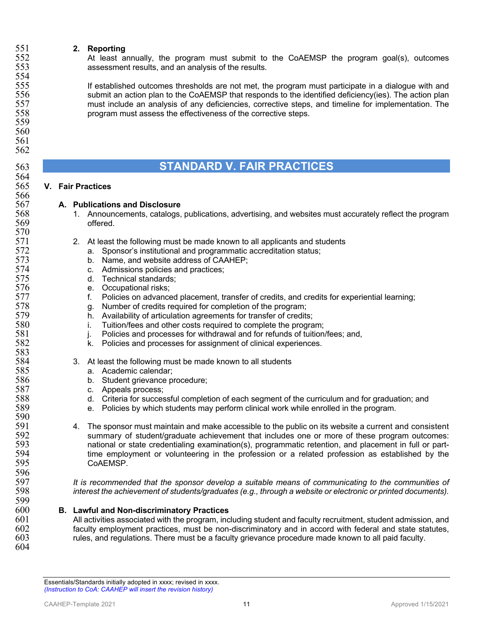# 551 **2. Reporting**

552 At least annually, the program must submit to the CoAEMSP the program goal(s), outcomes assessment results, and an analysis of the results.

555 If established outcomes thresholds are not met, the program must participate in a dialogue with and submit an action plan to the CoAEMSP that responds to the identified deficiency(ies). The action plan 557 must include an analysis of any deficiencies, corrective steps, and timeline for implementation. The 558 program must assess the effectiveness of the corrective steps.

### 563 **STANDARD V. FAIR PRACTICES**

#### 565 **V. Fair Practices**

554<br>555

564<br>565

566

570<br>571

583<br>584

590

596<br>597

599<br>600

## 567 **A. Publications and Disclosure**

- 568 1. Announcements, catalogs, publications, advertising, and websites must accurately reflect the program offered
- 571 2. At least the following must be made known to all applicants and students  $572$  a. Sponsor's institutional and programmatic accreditation status:
- 572 a. Sponsor's institutional and programmatic accreditation status;<br>573 b. Name, and website address of CAAHEP;
- 573 b. Name, and website address of CAAHEP;<br>574 c. Admissions policies and practices:
- 574 c. Admissions policies and practices;<br>575 d. Technical standards;
- 575 d. Technical standards;<br>576 e. Occupational risks;
- 576 e. Occupational risks;<br>577 f. Policies on advance
- 577 f. Policies on advanced placement, transfer of credits, and credits for experiential learning;<br>578 set al. Number of credits required for completion of the program;
	- g. Number of credits required for completion of the program;
- 579 h. Availability of articulation agreements for transfer of credits;<br>580 **hand in the Tuition/fees and other costs required to complete the program**
- 580 i. Tuition/fees and other costs required to complete the program;<br>581 i. Policies and processes for withdrawal and for refunds of tuition.
	- j. Policies and processes for withdrawal and for refunds of tuition/fees; and,
- 582 k. Policies and processes for assignment of clinical experiences.
- 584 3. At least the following must be made known to all students<br>585 a. Academic calendar:
- 585 a. Academic calendar;<br>586 b. Student grievance p
- 586 b. Student grievance procedure;<br>587 c. Appeals process;
- 587 c. Appeals process;<br>588 d. Criteria for succes
	- d. Criteria for successful completion of each segment of the curriculum and for graduation; and
- 589 e. Policies by which students may perform clinical work while enrolled in the program.
- 591 4. The sponsor must maintain and make accessible to the public on its website a current and consistent 592 592 summary of student/graduate achievement that includes one or more of these program outcomes:<br>593 hational or state credentialing examination(s), programmatic retention, and placement in full or partnational or state credentialing examination(s), programmatic retention, and placement in full or part-594 time employment or volunteering in the profession or a related profession as established by the CoAEMSP.

597 *It is recommended that the sponsor develop a suitable means of communicating to the communities of*  598 *interest the achievement of students/graduates (e.g., through a website or electronic or printed documents).*

#### 600 **B. Lawful and Non-discriminatory Practices**

601 All activities associated with the program, including student and faculty recruitment, student admission, and 602 faculty employment practices, must be non-discriminatory and in accord with federal and state statutes, 603 rules, and regulations. There must be a faculty grievance procedure made known to all paid faculty.

Essentials/Standards initially adopted in xxxx; revised in xxxx. *(Instruction to CoA: CAAHEP will insert the revision history)*